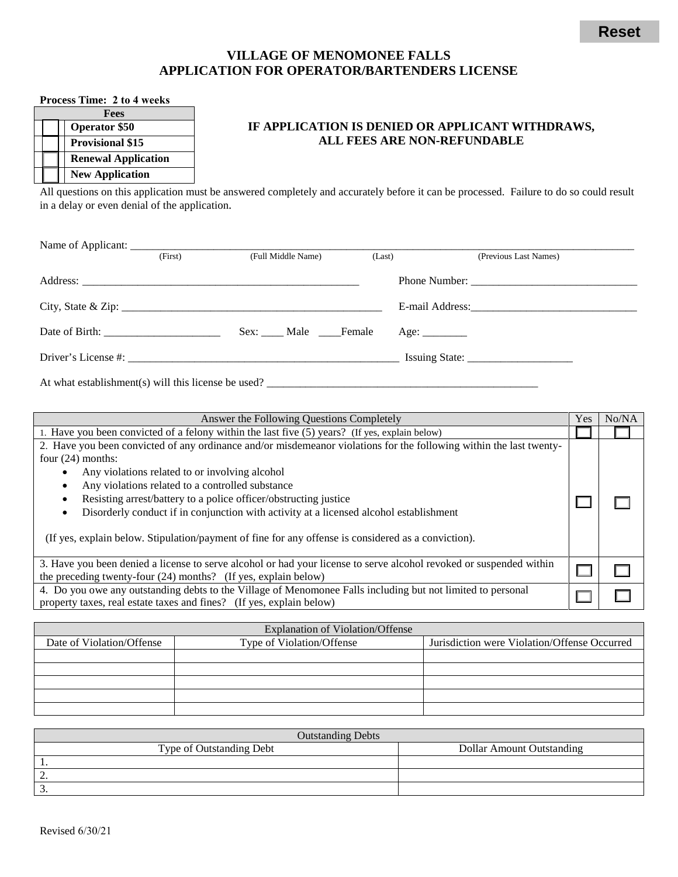## **VILLAGE OF MENOMONEE FALLS APPLICATION FOR OPERATOR/BARTENDERS LICENSE**

## **Process Time: 2 to 4 weeks**

| <b>Fees</b> |  |                            |  |  |
|-------------|--|----------------------------|--|--|
|             |  | <b>Operator \$50</b>       |  |  |
|             |  | <b>Provisional \$15</b>    |  |  |
|             |  | <b>Renewal Application</b> |  |  |
|             |  | <b>New Application</b>     |  |  |

## **IF APPLICATION IS DENIED OR APPLICANT WITHDRAWS, ALL FEES ARE NON-REFUNDABLE**

All questions on this application must be answered completely and accurately before it can be processed. Failure to do so could result in a delay or even denial of the application.

| (First) | (Full Middle Name)           | (Last) | (Previous Last Names) |
|---------|------------------------------|--------|-----------------------|
|         |                              |        |                       |
|         | City, State & Zip:           |        |                       |
|         | Sex: _____ Male _____ Female |        |                       |
|         |                              |        | Issuing State:        |
|         |                              |        |                       |

At what establishment(s) will this license be used? \_\_\_\_\_\_\_\_\_\_\_\_\_\_\_\_\_\_\_\_\_\_\_\_\_\_\_\_\_

| Answer the Following Questions Completely                                                                           |  |  |
|---------------------------------------------------------------------------------------------------------------------|--|--|
| 1. Have you been convicted of a felony within the last five (5) years? (If yes, explain below)                      |  |  |
| 2. Have you been convicted of any ordinance and/or misdemeanor violations for the following within the last twenty- |  |  |
| four $(24)$ months:                                                                                                 |  |  |
| Any violations related to or involving alcohol                                                                      |  |  |
| Any violations related to a controlled substance<br>٠                                                               |  |  |
| Resisting arrest/battery to a police officer/obstructing justice<br>٠                                               |  |  |
| Disorderly conduct if in conjunction with activity at a licensed alcohol establishment                              |  |  |
| (If yes, explain below. Stipulation/payment of fine for any offense is considered as a conviction).                 |  |  |
| 3. Have you been denied a license to serve alcohol or had your license to serve alcohol revoked or suspended within |  |  |
| the preceding twenty-four $(24)$ months? (If yes, explain below)                                                    |  |  |
| 4. Do you owe any outstanding debts to the Village of Menomonee Falls including but not limited to personal         |  |  |
| property taxes, real estate taxes and fines? (If yes, explain below)                                                |  |  |

| <b>Explanation of Violation/Offense</b> |                           |                                              |  |  |  |
|-----------------------------------------|---------------------------|----------------------------------------------|--|--|--|
| Date of Violation/Offense               | Type of Violation/Offense | Jurisdiction were Violation/Offense Occurred |  |  |  |
|                                         |                           |                                              |  |  |  |
|                                         |                           |                                              |  |  |  |
|                                         |                           |                                              |  |  |  |
|                                         |                           |                                              |  |  |  |
|                                         |                           |                                              |  |  |  |

| <b>Outstanding Debts</b> |                                  |  |  |  |
|--------------------------|----------------------------------|--|--|--|
| Type of Outstanding Debt | <b>Dollar Amount Outstanding</b> |  |  |  |
|                          |                                  |  |  |  |
| --                       |                                  |  |  |  |
|                          |                                  |  |  |  |